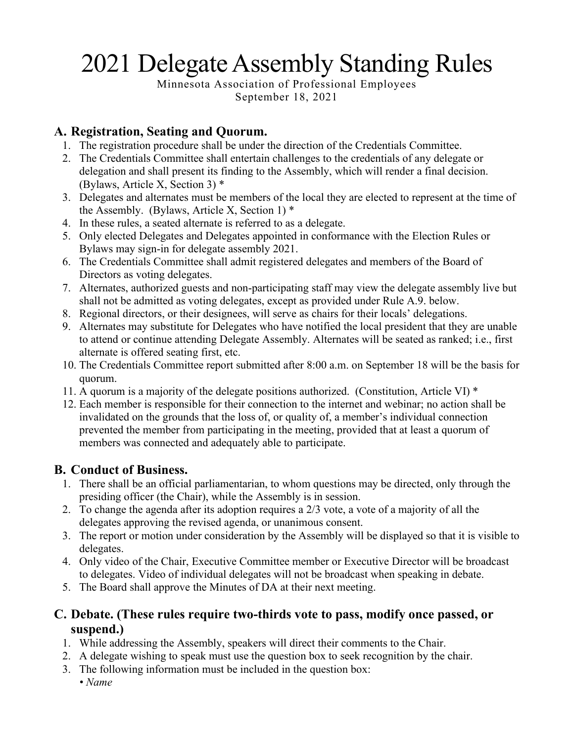# 2021 Delegate Assembly Standing Rules

Minnesota Association of Professional Employees September 18, 2021

# **A. Registration, Seating and Quorum.**

- 1. The registration procedure shall be under the direction of the Credentials Committee.
- 2. The Credentials Committee shall entertain challenges to the credentials of any delegate or delegation and shall present its finding to the Assembly, which will render a final decision. (Bylaws, Article X, Section 3) \*
- 3. Delegates and alternates must be members of the local they are elected to represent at the time of the Assembly. (Bylaws, Article X, Section 1)  $*$
- 4. In these rules, a seated alternate is referred to as a delegate.
- 5. Only elected Delegates and Delegates appointed in conformance with the Election Rules or Bylaws may sign-in for delegate assembly 2021.
- 6. The Credentials Committee shall admit registered delegates and members of the Board of Directors as voting delegates.
- 7. Alternates, authorized guests and non-participating staff may view the delegate assembly live but shall not be admitted as voting delegates, except as provided under Rule A.9. below.
- 8. Regional directors, or their designees, will serve as chairs for their locals' delegations.
- 9. Alternates may substitute for Delegates who have notified the local president that they are unable to attend or continue attending Delegate Assembly. Alternates will be seated as ranked; i.e., first alternate is offered seating first, etc.
- 10. The Credentials Committee report submitted after 8:00 a.m. on September 18 will be the basis for quorum.
- 11. A quorum is a majority of the delegate positions authorized. (Constitution, Article VI) \*
- 12. Each member is responsible for their connection to the internet and webinar; no action shall be invalidated on the grounds that the loss of, or quality of, a member's individual connection prevented the member from participating in the meeting, provided that at least a quorum of members was connected and adequately able to participate.

## **B. Conduct of Business.**

- 1. There shall be an official parliamentarian, to whom questions may be directed, only through the presiding officer (the Chair), while the Assembly is in session.
- 2. To change the agenda after its adoption requires a 2/3 vote, a vote of a majority of all the delegates approving the revised agenda, or unanimous consent.
- 3. The report or motion under consideration by the Assembly will be displayed so that it is visible to delegates.
- 4. Only video of the Chair, Executive Committee member or Executive Director will be broadcast to delegates. Video of individual delegates will not be broadcast when speaking in debate.
- 5. The Board shall approve the Minutes of DA at their next meeting.

## **C. Debate. (These rules require two-thirds vote to pass, modify once passed, or suspend.)**

- 1. While addressing the Assembly, speakers will direct their comments to the Chair.
- 2. A delegate wishing to speak must use the question box to seek recognition by the chair.
- 3. The following information must be included in the question box:
	- *Name*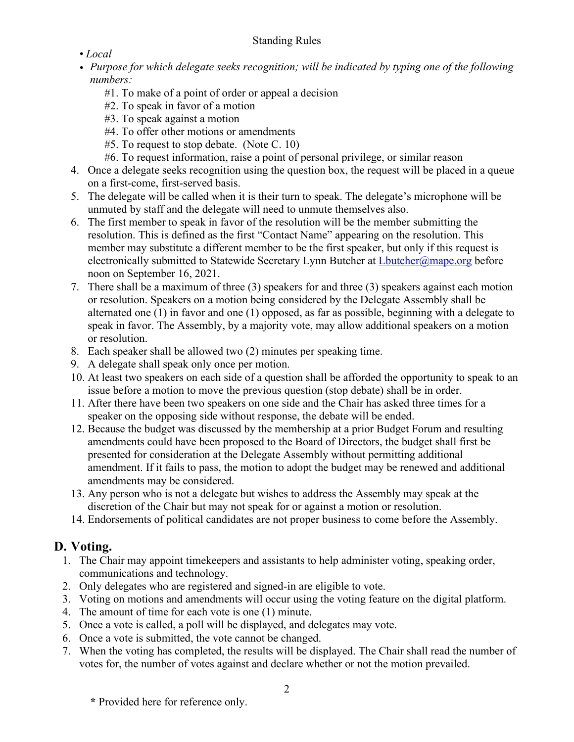#### Standing Rules

- *Local*
- *• Purpose for which delegate seeks recognition; will be indicated by typing one of the following numbers:* 
	- #1. To make of a point of order or appeal a decision
	- #2. To speak in favor of a motion
	- #3. To speak against a motion
	- #4. To offer other motions or amendments
	- #5. To request to stop debate. (Note C. 10)
	- #6. To request information, raise a point of personal privilege, or similar reason
- 4. Once a delegate seeks recognition using the question box, the request will be placed in a queue on a first-come, first-served basis.
- 5. The delegate will be called when it is their turn to speak. The delegate's microphone will be unmuted by staff and the delegate will need to unmute themselves also.
- 6. The first member to speak in favor of the resolution will be the member submitting the resolution. This is defined as the first "Contact Name" appearing on the resolution. This member may substitute a different member to be the first speaker, but only if this request is electronically submitted to Statewide Secretary Lynn Butcher at [Lbutcher@mape.org](mailto:Lbutcher@mape.org) before noon on September 16, 2021.
- 7. There shall be a maximum of three (3) speakers for and three (3) speakers against each motion or resolution. Speakers on a motion being considered by the Delegate Assembly shall be alternated one (1) in favor and one (1) opposed, as far as possible, beginning with a delegate to speak in favor. The Assembly, by a majority vote, may allow additional speakers on a motion or resolution.
- 8. Each speaker shall be allowed two (2) minutes per speaking time.
- 9. A delegate shall speak only once per motion.
- 10. At least two speakers on each side of a question shall be afforded the opportunity to speak to an issue before a motion to move the previous question (stop debate) shall be in order.
- 11. After there have been two speakers on one side and the Chair has asked three times for a speaker on the opposing side without response, the debate will be ended.
- 12. Because the budget was discussed by the membership at a prior Budget Forum and resulting amendments could have been proposed to the Board of Directors, the budget shall first be presented for consideration at the Delegate Assembly without permitting additional amendment. If it fails to pass, the motion to adopt the budget may be renewed and additional amendments may be considered.
- 13. Any person who is not a delegate but wishes to address the Assembly may speak at the discretion of the Chair but may not speak for or against a motion or resolution.
- 14. Endorsements of political candidates are not proper business to come before the Assembly.

## **D. Voting.**

- 1. The Chair may appoint timekeepers and assistants to help administer voting, speaking order, communications and technology.
- 2. Only delegates who are registered and signed-in are eligible to vote.
- 3. Voting on motions and amendments will occur using the voting feature on the digital platform.
- 4. The amount of time for each vote is one (1) minute.
- 5. Once a vote is called, a poll will be displayed, and delegates may vote.
- 6. Once a vote is submitted, the vote cannot be changed.
- 7. When the voting has completed, the results will be displayed. The Chair shall read the number of votes for, the number of votes against and declare whether or not the motion prevailed.

**\*** Provided here for reference only.